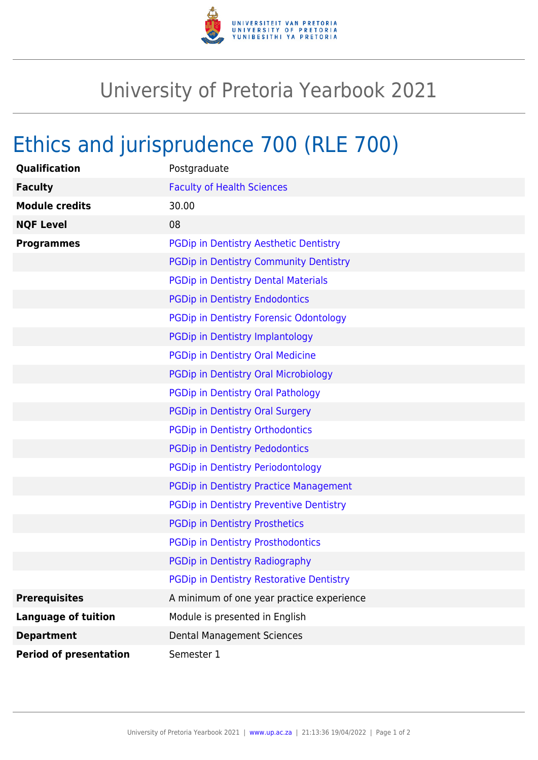

## University of Pretoria Yearbook 2021

## Ethics and jurisprudence 700 (RLE 700)

| Qualification                 | Postgraduate                                    |
|-------------------------------|-------------------------------------------------|
| <b>Faculty</b>                | <b>Faculty of Health Sciences</b>               |
| <b>Module credits</b>         | 30.00                                           |
| <b>NQF Level</b>              | 08                                              |
| <b>Programmes</b>             | PGDip in Dentistry Aesthetic Dentistry          |
|                               | PGDip in Dentistry Community Dentistry          |
|                               | <b>PGDip in Dentistry Dental Materials</b>      |
|                               | <b>PGDip in Dentistry Endodontics</b>           |
|                               | <b>PGDip in Dentistry Forensic Odontology</b>   |
|                               | PGDip in Dentistry Implantology                 |
|                               | PGDip in Dentistry Oral Medicine                |
|                               | <b>PGDip in Dentistry Oral Microbiology</b>     |
|                               | PGDip in Dentistry Oral Pathology               |
|                               | PGDip in Dentistry Oral Surgery                 |
|                               | <b>PGDip in Dentistry Orthodontics</b>          |
|                               | <b>PGDip in Dentistry Pedodontics</b>           |
|                               | <b>PGDip in Dentistry Periodontology</b>        |
|                               | <b>PGDip in Dentistry Practice Management</b>   |
|                               | <b>PGDip in Dentistry Preventive Dentistry</b>  |
|                               | <b>PGDip in Dentistry Prosthetics</b>           |
|                               | <b>PGDip in Dentistry Prosthodontics</b>        |
|                               | PGDip in Dentistry Radiography                  |
|                               | <b>PGDip in Dentistry Restorative Dentistry</b> |
| <b>Prerequisites</b>          | A minimum of one year practice experience       |
| <b>Language of tuition</b>    | Module is presented in English                  |
| <b>Department</b>             | <b>Dental Management Sciences</b>               |
| <b>Period of presentation</b> | Semester 1                                      |